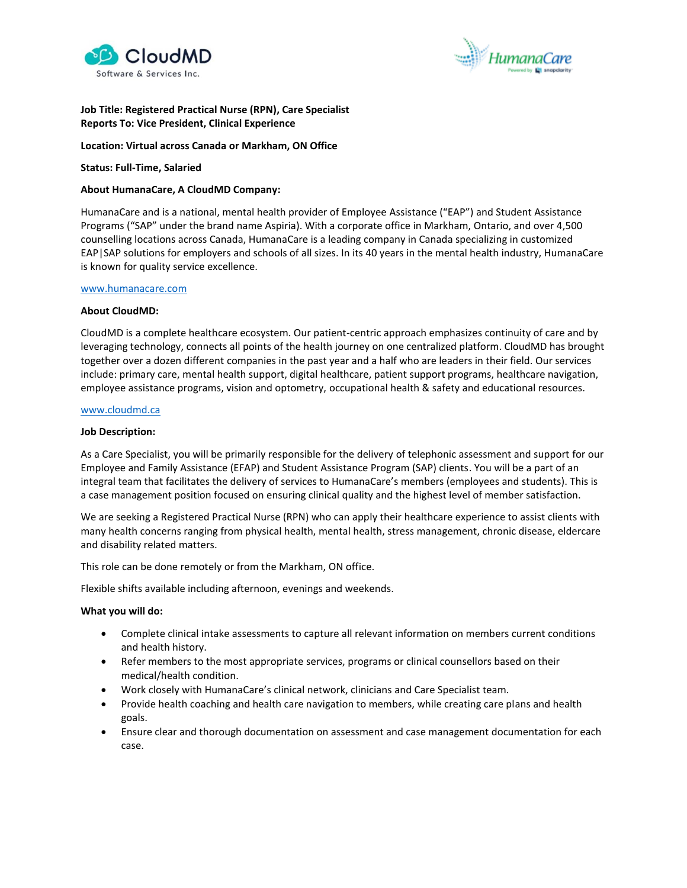



# **Job Title: Registered Practical Nurse (RPN), Care Specialist Reports To: Vice President, Clinical Experience**

**Location: Virtual across Canada or Markham, ON Office**

**Status: Full-Time, Salaried**

### **About HumanaCare, A CloudMD Company:**

HumanaCare and is a national, mental health provider of Employee Assistance ("EAP") and Student Assistance Programs ("SAP" under the brand name Aspiria). With a corporate office in Markham, Ontario, and over 4,500 counselling locations across Canada, HumanaCare is a leading company in Canada specializing in customized EAP|SAP solutions for employers and schools of all sizes. In its 40 years in the mental health industry, HumanaCare is known for quality service excellence.

#### [www.humanacare.com](http://www.humanacare.com/)

#### **About CloudMD:**

CloudMD is a complete healthcare ecosystem. Our patient-centric approach emphasizes continuity of care and by leveraging technology, connects all points of the health journey on one centralized platform. CloudMD has brought together over a dozen different companies in the past year and a half who are leaders in their field. Our services include: primary care, mental health support, digital healthcare, patient support programs, healthcare navigation, employee assistance programs, vision and optometry, occupational health & safety and educational resources.

# [www.cloudmd.ca](http://www.cloudmd.ca/)

#### **Job Description:**

As a Care Specialist, you will be primarily responsible for the delivery of telephonic assessment and support for our Employee and Family Assistance (EFAP) and Student Assistance Program (SAP) clients. You will be a part of an integral team that facilitates the delivery of services to HumanaCare's members (employees and students). This is a case management position focused on ensuring clinical quality and the highest level of member satisfaction.

We are seeking a Registered Practical Nurse (RPN) who can apply their healthcare experience to assist clients with many health concerns ranging from physical health, mental health, stress management, chronic disease, eldercare and disability related matters.

This role can be done remotely or from the Markham, ON office.

Flexible shifts available including afternoon, evenings and weekends.

### **What you will do:**

- Complete clinical intake assessments to capture all relevant information on members current conditions and health history.
- Refer members to the most appropriate services, programs or clinical counsellors based on their medical/health condition.
- Work closely with HumanaCare's clinical network, clinicians and Care Specialist team.
- Provide health coaching and health care navigation to members, while creating care plans and health goals.
- Ensure clear and thorough documentation on assessment and case management documentation for each case.